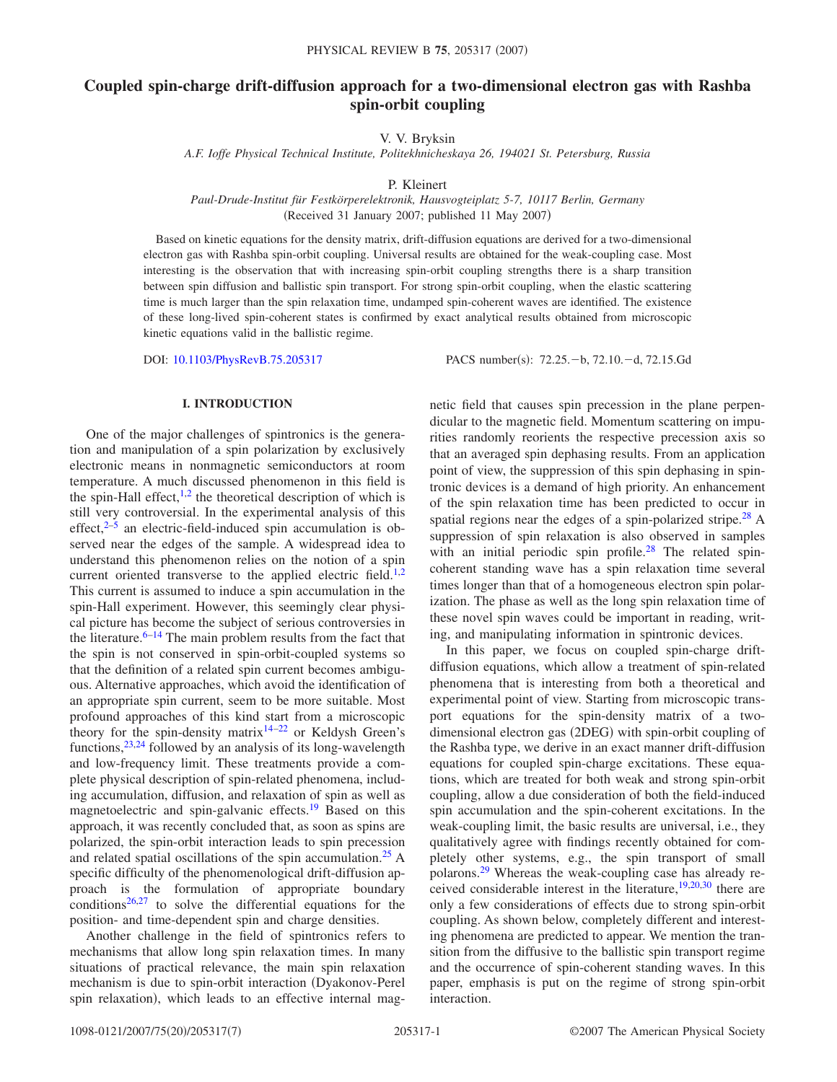# **Coupled spin-charge drift-diffusion approach for a two-dimensional electron gas with Rashba spin-orbit coupling**

V. V. Bryksin

*A.F. Ioffe Physical Technical Institute, Politekhnicheskaya 26, 194021 St. Petersburg, Russia*

P. Kleinert

*Paul-Drude-Institut für Festkörperelektronik, Hausvogteiplatz 5-7, 10117 Berlin, Germany* (Received 31 January 2007; published 11 May 2007)

Based on kinetic equations for the density matrix, drift-diffusion equations are derived for a two-dimensional electron gas with Rashba spin-orbit coupling. Universal results are obtained for the weak-coupling case. Most interesting is the observation that with increasing spin-orbit coupling strengths there is a sharp transition between spin diffusion and ballistic spin transport. For strong spin-orbit coupling, when the elastic scattering time is much larger than the spin relaxation time, undamped spin-coherent waves are identified. The existence of these long-lived spin-coherent states is confirmed by exact analytical results obtained from microscopic kinetic equations valid in the ballistic regime.

DOI: [10.1103/PhysRevB.75.205317](http://dx.doi.org/10.1103/PhysRevB.75.205317)

PACS number(s): 72.25. - b, 72.10. - d, 72.15. Gd

#### **I. INTRODUCTION**

One of the major challenges of spintronics is the generation and manipulation of a spin polarization by exclusively electronic means in nonmagnetic semiconductors at room temperature. A much discussed phenomenon in this field is the spin-Hall effect, $\frac{1}{2}$  $\frac{1}{2}$  $\frac{1}{2}$  the theoretical description of which is still very controversial. In the experimental analysis of this effect, $2-5$  $2-5$  an electric-field-induced spin accumulation is observed near the edges of the sample. A widespread idea to understand this phenomenon relies on the notion of a spin current oriented transverse to the applied electric field.<sup>1[,2](#page-6-1)</sup> This current is assumed to induce a spin accumulation in the spin-Hall experiment. However, this seemingly clear physical picture has become the subject of serious controversies in the literature. $6-14$  The main problem results from the fact that the spin is not conserved in spin-orbit-coupled systems so that the definition of a related spin current becomes ambiguous. Alternative approaches, which avoid the identification of an appropriate spin current, seem to be more suitable. Most profound approaches of this kind start from a microscopic theory for the spin-density matrix<sup>14–[22](#page-6-5)</sup> or Keldysh Green's functions,  $23,24$  $23,24$  followed by an analysis of its long-wavelength and low-frequency limit. These treatments provide a complete physical description of spin-related phenomena, including accumulation, diffusion, and relaxation of spin as well as magnetoelectric and spin-galvanic effects.<sup>19</sup> Based on this approach, it was recently concluded that, as soon as spins are polarized, the spin-orbit interaction leads to spin precession and related spatial oscillations of the spin accumulation.<sup>25</sup> A specific difficulty of the phenomenological drift-diffusion approach is the formulation of appropriate boundary conditions $26,27$  $26,27$  to solve the differential equations for the position- and time-dependent spin and charge densities.

Another challenge in the field of spintronics refers to mechanisms that allow long spin relaxation times. In many situations of practical relevance, the main spin relaxation mechanism is due to spin-orbit interaction (Dyakonov-Perel spin relaxation), which leads to an effective internal magnetic field that causes spin precession in the plane perpendicular to the magnetic field. Momentum scattering on impurities randomly reorients the respective precession axis so that an averaged spin dephasing results. From an application point of view, the suppression of this spin dephasing in spintronic devices is a demand of high priority. An enhancement of the spin relaxation time has been predicted to occur in spatial regions near the edges of a spin-polarized stripe.<sup>28</sup> A suppression of spin relaxation is also observed in samples with an initial periodic spin profile.<sup>28</sup> The related spincoherent standing wave has a spin relaxation time several times longer than that of a homogeneous electron spin polarization. The phase as well as the long spin relaxation time of these novel spin waves could be important in reading, writing, and manipulating information in spintronic devices.

In this paper, we focus on coupled spin-charge driftdiffusion equations, which allow a treatment of spin-related phenomena that is interesting from both a theoretical and experimental point of view. Starting from microscopic transport equations for the spin-density matrix of a twodimensional electron gas (2DEG) with spin-orbit coupling of the Rashba type, we derive in an exact manner drift-diffusion equations for coupled spin-charge excitations. These equations, which are treated for both weak and strong spin-orbit coupling, allow a due consideration of both the field-induced spin accumulation and the spin-coherent excitations. In the weak-coupling limit, the basic results are universal, i.e., they qualitatively agree with findings recently obtained for completely other systems, e.g., the spin transport of small polarons[.29](#page-6-13) Whereas the weak-coupling case has already received considerable interest in the literature,  $19,20,30$  $19,20,30$  $19,20,30$  there are only a few considerations of effects due to strong spin-orbit coupling. As shown below, completely different and interesting phenomena are predicted to appear. We mention the transition from the diffusive to the ballistic spin transport regime and the occurrence of spin-coherent standing waves. In this paper, emphasis is put on the regime of strong spin-orbit interaction.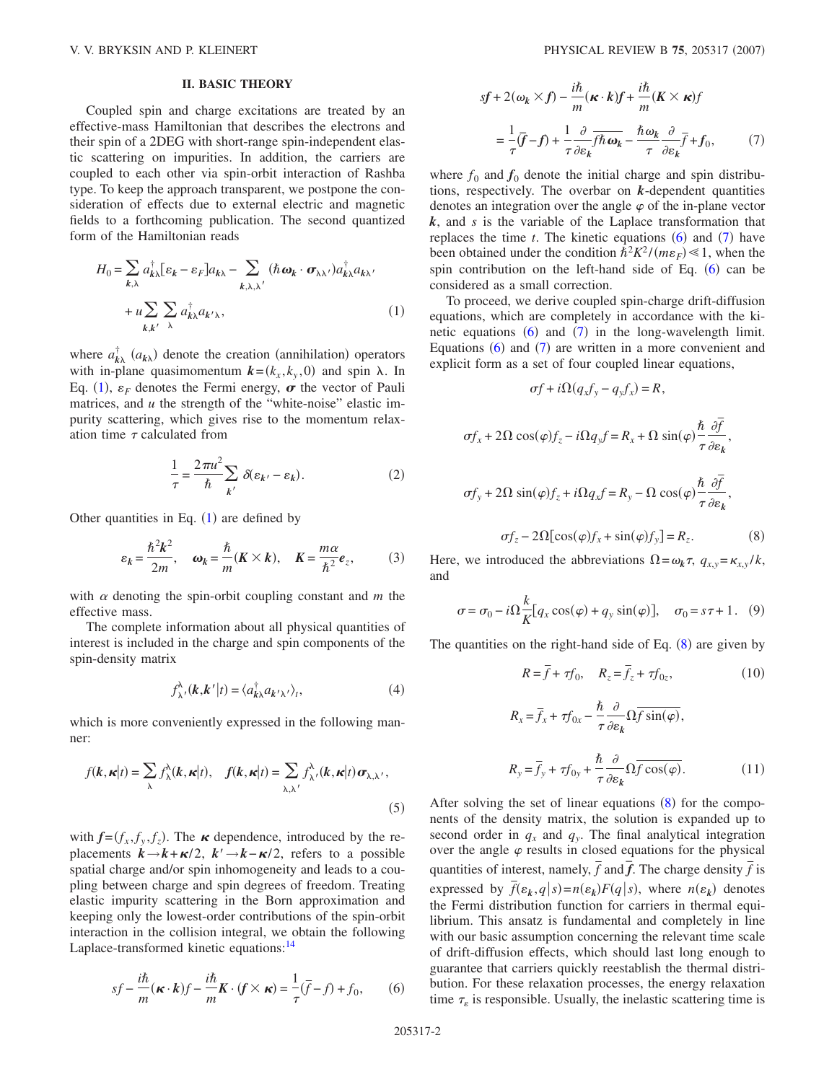## **II. BASIC THEORY**

Coupled spin and charge excitations are treated by an effective-mass Hamiltonian that describes the electrons and their spin of a 2DEG with short-range spin-independent elastic scattering on impurities. In addition, the carriers are coupled to each other via spin-orbit interaction of Rashba type. To keep the approach transparent, we postpone the consideration of effects due to external electric and magnetic fields to a forthcoming publication. The second quantized form of the Hamiltonian reads

<span id="page-1-0"></span>
$$
H_0 = \sum_{k,\lambda} a_{k\lambda}^\dagger [\varepsilon_k - \varepsilon_F] a_{k\lambda} - \sum_{k,\lambda,\lambda'} (\hbar \omega_k \cdot \sigma_{\lambda\lambda'}) a_{k\lambda}^\dagger a_{k\lambda'} + u \sum_{k,k'} \sum_{\lambda} a_{k\lambda}^\dagger a_{k'\lambda},
$$
 (1)

where  $a_{k\lambda}^{\dagger}(a_{k\lambda})$  denote the creation (annihilation) operators with in-plane quasimomentum  $\mathbf{k} = (k_x, k_y, 0)$  and spin  $\lambda$ . In Eq. ([1](#page-1-0)),  $\varepsilon_F$  denotes the Fermi energy,  $\sigma$  the vector of Pauli matrices, and *u* the strength of the "white-noise" elastic impurity scattering, which gives rise to the momentum relaxation time  $\tau$  calculated from

$$
\frac{1}{\tau} = \frac{2\pi u^2}{\hbar} \sum_{k'} \delta(\varepsilon_{k'} - \varepsilon_k).
$$
 (2)

Other quantities in Eq.  $(1)$  $(1)$  $(1)$  are defined by

$$
\varepsilon_k = \frac{\hbar^2 k^2}{2m}, \quad \omega_k = \frac{\hbar}{m} (K \times k), \quad K = \frac{m\alpha}{\hbar^2} e_z, \tag{3}
$$

with  $\alpha$  denoting the spin-orbit coupling constant and  $m$  the effective mass.

The complete information about all physical quantities of interest is included in the charge and spin components of the spin-density matrix

$$
f^{\lambda}_{\lambda'}(\mathbf{k}, \mathbf{k}' | t) = \langle a^{\dagger}_{\mathbf{k}\lambda} a_{\mathbf{k}'\lambda'} \rangle_t,
$$
 (4)

which is more conveniently expressed in the following manner:

$$
f(\mathbf{k}, \mathbf{k}|t) = \sum_{\lambda} f_{\lambda}^{\lambda}(\mathbf{k}, \mathbf{k}|t), \quad f(\mathbf{k}, \mathbf{k}|t) = \sum_{\lambda, \lambda'} f_{\lambda'}^{\lambda}(\mathbf{k}, \mathbf{k}|t) \sigma_{\lambda, \lambda'},
$$
\n(5)

with  $f=(f_x, f_y, f_z)$ . The  $\kappa$  dependence, introduced by the replacements  $k \rightarrow k + \kappa/2$ ,  $k' \rightarrow k - \kappa/2$ , refers to a possible spatial charge and/or spin inhomogeneity and leads to a coupling between charge and spin degrees of freedom. Treating elastic impurity scattering in the Born approximation and keeping only the lowest-order contributions of the spin-orbit interaction in the collision integral, we obtain the following Laplace-transformed kinetic equations:<sup>14</sup>

<span id="page-1-1"></span>
$$
sf - \frac{i\hbar}{m}(\kappa \cdot k)f - \frac{i\hbar}{m}K \cdot (f \times \kappa) = \frac{1}{\tau}(\bar{f} - f) + f_0,\qquad(6)
$$

<span id="page-1-2"></span>
$$
sf + 2(\omega_k \times f) - \frac{i\hbar}{m}(\kappa \cdot k)f + \frac{i\hbar}{m}(K \times \kappa)f
$$

$$
= \frac{1}{\tau}(\overline{f} - f) + \frac{1}{\tau}\frac{\partial}{\partial \varepsilon_k}\overline{f}\hbar\omega_k - \frac{\hbar\omega_k}{\tau}\frac{\partial}{\partial \varepsilon_k}\overline{f} + f_0,
$$
(7)

where  $f_0$  and  $f_0$  denote the initial charge and spin distributions, respectively. The overbar on *k*-dependent quantities denotes an integration over the angle  $\varphi$  of the in-plane vector *k*, and *s* is the variable of the Laplace transformation that replaces the time  $t$ . The kinetic equations  $(6)$  $(6)$  $(6)$  and  $(7)$  $(7)$  $(7)$  have been obtained under the condition  $\hbar^2 K^2/(m\varepsilon_F) \ll 1$ , when the spin contribution on the left-hand side of Eq.  $(6)$  $(6)$  $(6)$  can be considered as a small correction.

To proceed, we derive coupled spin-charge drift-diffusion equations, which are completely in accordance with the kinetic equations  $(6)$  $(6)$  $(6)$  and  $(7)$  $(7)$  $(7)$  in the long-wavelength limit. Equations  $(6)$  $(6)$  $(6)$  and  $(7)$  $(7)$  $(7)$  are written in a more convenient and explicit form as a set of four coupled linear equations,

 $\sigma f + i\Omega (q_x f_y - q_y f_x) = R,$ 

<span id="page-1-3"></span>
$$
\sigma f_x + 2\Omega \cos(\varphi) f_z - i\Omega q_y f = R_x + \Omega \sin(\varphi) \frac{\hbar}{\tau} \frac{\partial \overline{f}}{\partial \varepsilon_k},
$$
  

$$
\sigma f_y + 2\Omega \sin(\varphi) f_z + i\Omega q_x f = R_y - \Omega \cos(\varphi) \frac{\hbar}{\tau} \frac{\partial \overline{f}}{\partial \varepsilon_k},
$$
  

$$
\sigma f_z - 2\Omega [\cos(\varphi) f_x + \sin(\varphi) f_y] = R_z.
$$
 (8)

Here, we introduced the abbreviations  $\Omega = \omega_k \tau$ ,  $q_{x,y} = \kappa_{x,y}/k$ , and

$$
\sigma = \sigma_0 - i\Omega \frac{k}{K} [q_x \cos(\varphi) + q_y \sin(\varphi)], \quad \sigma_0 = s\tau + 1. \quad (9)
$$

The quantities on the right-hand side of Eq.  $(8)$  $(8)$  $(8)$  are given by

$$
R = \overline{f} + \tau f_0, \quad R_z = \overline{f}_z + \tau f_{0z}, \tag{10}
$$

$$
R_x = \overline{f}_x + \tau f_{0x} - \frac{\hbar}{\tau} \frac{\partial}{\partial \varepsilon_k} \Omega \overline{f} \sin(\varphi),
$$
  

$$
R_y = \overline{f}_y + \tau f_{0y} + \frac{\hbar}{\tau} \frac{\partial}{\partial \varepsilon_k} \Omega \overline{f} \cos(\varphi).
$$
 (11)

After solving the set of linear equations  $(8)$  $(8)$  $(8)$  for the components of the density matrix, the solution is expanded up to second order in  $q_x$  and  $q_y$ . The final analytical integration over the angle  $\varphi$  results in closed equations for the physical quantities of interest, namely,  $\bar{f}$  and  $\bar{f}$ . The charge density  $\bar{f}$  is expressed by  $\bar{f}(\varepsilon_k, q | s) = n(\varepsilon_k) F(q | s)$ , where  $n(\varepsilon_k)$  denotes the Fermi distribution function for carriers in thermal equilibrium. This ansatz is fundamental and completely in line with our basic assumption concerning the relevant time scale of drift-diffusion effects, which should last long enough to guarantee that carriers quickly reestablish the thermal distribution. For these relaxation processes, the energy relaxation time  $\tau_{\varepsilon}$  is responsible. Usually, the inelastic scattering time is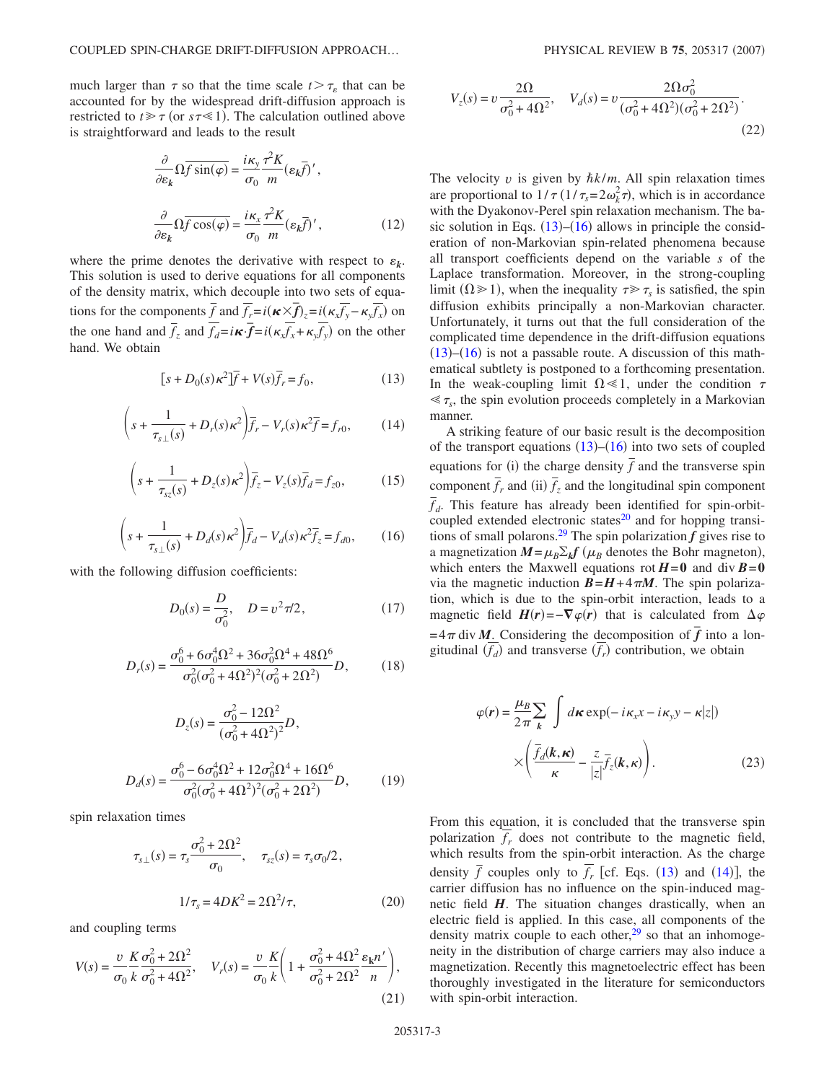<span id="page-2-3"></span>much larger than  $\tau$  so that the time scale  $t > \tau_s$  that can be accounted for by the widespread drift-diffusion approach is restricted to  $t \ge \tau$  (or  $s\tau \le 1$ ). The calculation outlined above is straightforward and leads to the result

$$
\frac{\partial}{\partial \varepsilon_k} \Omega \overline{f \sin(\varphi)} = \frac{i\kappa_y}{\sigma_0} \frac{\tau^2 K}{m} (\varepsilon_k \overline{f})',
$$

$$
\frac{\partial}{\partial \varepsilon_k} \Omega \overline{f \cos(\varphi)} = \frac{i\kappa_x}{\sigma_0} \frac{\tau^2 K}{m} (\varepsilon_k \overline{f})', \qquad (12)
$$

where the prime denotes the derivative with respect to  $\varepsilon_k$ . This solution is used to derive equations for all components of the density matrix, which decouple into two sets of equations for the components  $\bar{f}$  and  $\bar{f}_r = i(\kappa \times \bar{f})_z = i(\kappa_x \bar{f}_y - \kappa_y \bar{f}_x)$  on the one hand and  $\overline{f}_z$  and  $\overline{f}_d = i\kappa \cdot \overline{f} = i(\kappa_x \overline{f}_x + \kappa_y \overline{f}_y)$  on the other hand. We obtain

$$
[s+D_0(s)\kappa^2]\overline{f} + V(s)\overline{f}_r = f_0,\tag{13}
$$

<span id="page-2-2"></span><span id="page-2-0"></span>
$$
\left(s + \frac{1}{\tau_{s\perp}(s)} + D_r(s)\kappa^2\right)\bar{f}_r - V_r(s)\kappa^2 \bar{f} = f_{r0},\tag{14}
$$

<span id="page-2-4"></span>
$$
\left(s + \frac{1}{\tau_{\rm sz}(s)} + D_z(s)\kappa^2\right)\overline{f}_z - V_z(s)\overline{f}_d = f_{z0},\tag{15}
$$

$$
\left(s + \frac{1}{\tau_{s\perp}(s)} + D_d(s)\kappa^2\right)\overline{f}_d - V_d(s)\kappa^2\overline{f}_z = f_{d0},\qquad(16)
$$

<span id="page-2-1"></span>with the following diffusion coefficients:

$$
D_0(s) = \frac{D}{\sigma_0^2}, \quad D = v^2 \pi/2, \tag{17}
$$

$$
D_r(s) = \frac{\sigma_0^6 + 6\sigma_0^4 \Omega^2 + 36\sigma_0^2 \Omega^4 + 48\Omega^6}{\sigma_0^2 (\sigma_0^2 + 4\Omega^2)^2 (\sigma_0^2 + 2\Omega^2)} D,
$$
 (18)

$$
D_z(s) = \frac{\sigma_0^2 - 12\Omega^2}{(\sigma_0^2 + 4\Omega^2)^2} D,
$$
  

$$
D_d(s) = \frac{\sigma_0^6 - 6\sigma_0^4 \Omega^2 + 12\sigma_0^2 \Omega^4 + 16\Omega^6}{\sigma_0^2 (\sigma_0^2 + 4\Omega^2)^2 (\sigma_0^2 + 2\Omega^2)} D,
$$
 (19)

spin relaxation times

$$
\tau_{s\perp}(s) = \tau_s \frac{\sigma_0^2 + 2\Omega^2}{\sigma_0}, \quad \tau_{sz}(s) = \tau_s \sigma_0 / 2,
$$

$$
1/\tau_s = 4DK^2 = 2\Omega^2 / \tau,
$$
(20)

and coupling terms

$$
V(s) = \frac{v}{\sigma_0} \frac{K}{k} \frac{\sigma_0^2 + 2\Omega^2}{\sigma_0^2 + 4\Omega^2}, \quad V_r(s) = \frac{v}{\sigma_0} \frac{K}{k} \left( 1 + \frac{\sigma_0^2 + 4\Omega^2}{\sigma_0^2 + 2\Omega^2} \frac{\varepsilon_k n'}{n} \right),\tag{21}
$$

$$
V_z(s) = v \frac{2\Omega}{\sigma_0^2 + 4\Omega^2}, \quad V_d(s) = v \frac{2\Omega \sigma_0^2}{(\sigma_0^2 + 4\Omega^2)(\sigma_0^2 + 2\Omega^2)}.
$$
\n(22)

The velocity  $v$  is given by  $\hbar k/m$ . All spin relaxation times are proportional to  $1/\tau (1/\tau_s = 2\omega_k^2 \tau)$ , which is in accordance with the Dyakonov-Perel spin relaxation mechanism. The basic solution in Eqs.  $(13)$  $(13)$  $(13)$ – $(16)$  $(16)$  $(16)$  allows in principle the consideration of non-Markovian spin-related phenomena because all transport coefficients depend on the variable *s* of the Laplace transformation. Moreover, in the strong-coupling limit  $(\Omega \ge 1)$ , when the inequality  $\tau \ge \tau_s$  is satisfied, the spin diffusion exhibits principally a non-Markovian character. Unfortunately, it turns out that the full consideration of the complicated time dependence in the drift-diffusion equations  $(13)$  $(13)$  $(13)$ – $(16)$  $(16)$  $(16)$  is not a passable route. A discussion of this mathematical subtlety is postponed to a forthcoming presentation. In the weak-coupling limit  $\Omega \ll 1$ , under the condition  $\tau$  $\leq \tau_s$ , the spin evolution proceeds completely in a Markovian manner.

A striking feature of our basic result is the decomposition of the transport equations  $(13)$  $(13)$  $(13)$ – $(16)$  $(16)$  $(16)$  into two sets of coupled equations for (i) the charge density  $\overline{f}$  and the transverse spin equations for (i) the charge density  $\overline{f}$  and the transverse spin component  $\overline{f}_r$  and (ii)  $\overline{f}_z$  and the longitudinal spin component  $\overline{f}_d$ . This feature has already been identified for spin-orbitcoupled extended electronic states $^{20}$  and for hopping transitions of small polarons.<sup>29</sup> The spin polarization  $f$  gives rise to a magnetization  $M = \mu_B \Sigma_k f(\mu_B)$  denotes the Bohr magneton), which enters the Maxwell equations rot  $H=0$  and div  $B=0$ via the magnetic induction  $B = H + 4\pi M$ . The spin polarization, which is due to the spin-orbit interaction, leads to a magnetic field  $H(r) = -\nabla \varphi(r)$  that is calculated from  $\Delta \varphi$  $= 4\pi$  div *M*. Considering the decomposition of  $\overline{f}$  into a longitudinal  $(f_d)$  and transverse  $(f_r)$  contribution, we obtain

$$
\varphi(r) = \frac{\mu_B}{2\pi} \sum_{k} \int d\kappa \exp(-i\kappa_x x - i\kappa_y y - \kappa |z|)
$$

$$
\times \left( \frac{\overline{f}_d(k, \kappa)}{\kappa} - \frac{z}{|z|} \overline{f}_z(k, \kappa) \right). \tag{23}
$$

From this equation, it is concluded that the transverse spin polarization  $f_r$  does not contribute to the magnetic field, which results from the spin-orbit interaction. As the charge density  $\bar{f}$  couples only to  $\bar{f}_r$  [cf. Eqs. ([13](#page-2-0)) and ([14](#page-2-2))], the carrier diffusion has no influence on the spin-induced magnetic field *H*. The situation changes drastically, when an electric field is applied. In this case, all components of the density matrix couple to each other, $29$  so that an inhomogeneity in the distribution of charge carriers may also induce a magnetization. Recently this magnetoelectric effect has been thoroughly investigated in the literature for semiconductors with spin-orbit interaction.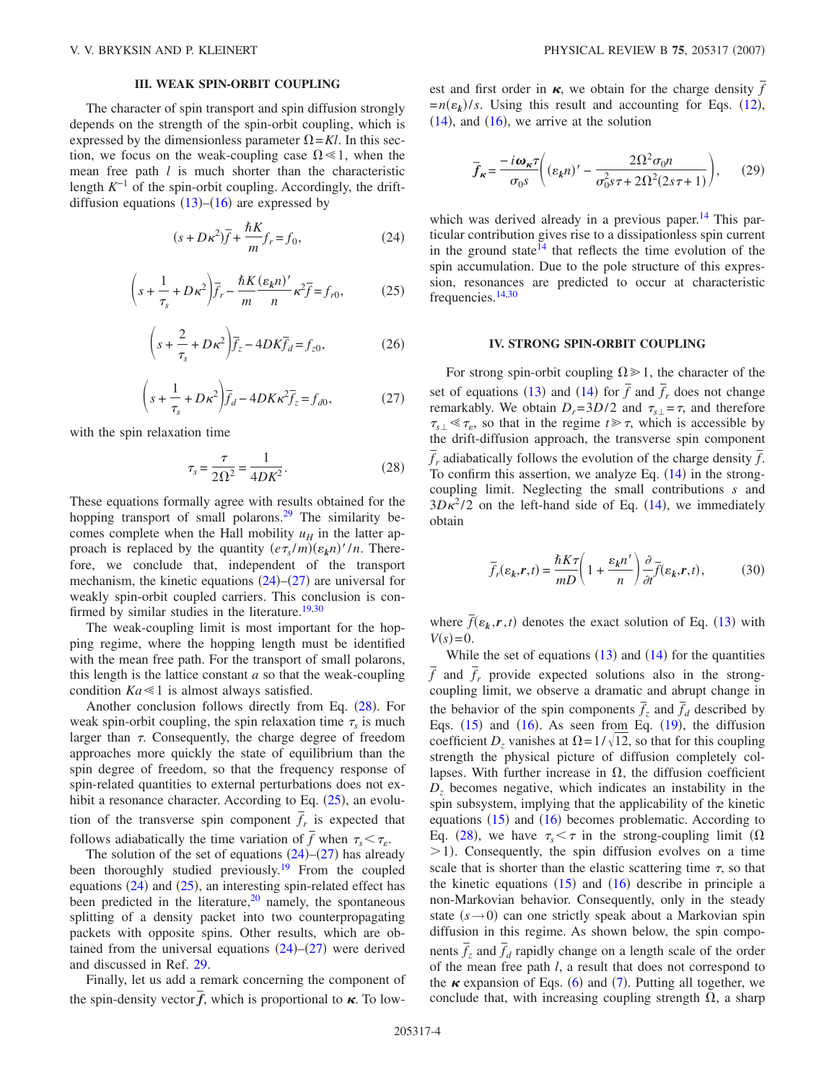### **III. WEAK SPIN-ORBIT COUPLING**

The character of spin transport and spin diffusion strongly depends on the strength of the spin-orbit coupling, which is expressed by the dimensionless parameter  $\Omega = Kl$ . In this section, we focus on the weak-coupling case  $\Omega \le 1$ , when the mean free path *l* is much shorter than the characteristic length  $K^{-1}$  of the spin-orbit coupling. Accordingly, the driftdiffusion equations  $(13)$  $(13)$  $(13)$ – $(16)$  $(16)$  $(16)$  are expressed by

$$
(s + D\kappa^2)\overline{f} + \frac{\hbar K}{m}f_r = f_0,\tag{24}
$$

<span id="page-3-3"></span><span id="page-3-0"></span>
$$
\left(s + \frac{1}{\tau_s} + D\kappa^2\right)\overline{f}_r - \frac{\hbar K}{m} \frac{(\varepsilon_k n)'}{n} \kappa^2 \overline{f} = f_{r0},\tag{25}
$$

$$
\left(s + \frac{2}{\tau_s} + D\kappa^2\right)\overline{f}_z - 4DK\overline{f}_d = f_{z0},\tag{26}
$$

$$
\left(s + \frac{1}{\tau_s} + D\kappa^2\right)\overline{f}_d - 4DK\kappa^2 \overline{f}_z = f_{d0},\tag{27}
$$

<span id="page-3-2"></span><span id="page-3-1"></span>with the spin relaxation time

$$
\tau_s = \frac{\tau}{2\Omega^2} = \frac{1}{4DK^2}.
$$
 (28)

These equations formally agree with results obtained for the hopping transport of small polarons.<sup>29</sup> The similarity becomes complete when the Hall mobility  $u_H$  in the latter approach is replaced by the quantity  $(e\tau_s/m)(\varepsilon_k n)'/n$ . Therefore, we conclude that, independent of the transport mechanism, the kinetic equations  $(24)$  $(24)$  $(24)$ – $(27)$  $(27)$  $(27)$  are universal for weakly spin-orbit coupled carriers. This conclusion is con-firmed by similar studies in the literature.<sup>19,[30](#page-6-15)</sup>

The weak-coupling limit is most important for the hopping regime, where the hopping length must be identified with the mean free path. For the transport of small polarons, this length is the lattice constant *a* so that the weak-coupling condition  $Ka \leq 1$  is almost always satisfied.

Another conclusion follows directly from Eq. ([28](#page-3-2)). For weak spin-orbit coupling, the spin relaxation time  $\tau_s$  is much larger than  $\tau$ . Consequently, the charge degree of freedom approaches more quickly the state of equilibrium than the spin degree of freedom, so that the frequency response of spin-related quantities to external perturbations does not exhibit a resonance character. According to Eq.  $(25)$  $(25)$  $(25)$ , an evolution of the transverse spin component  $\overline{f}_r$  is expected that follows adiabatically the time variation of  $\bar{f}$  when  $\tau_s < \tau_e$ .

The solution of the set of equations  $(24)$  $(24)$  $(24)$ – $(27)$  $(27)$  $(27)$  has already been thoroughly studied previously.<sup>19</sup> From the coupled equations  $(24)$  $(24)$  $(24)$  and  $(25)$  $(25)$  $(25)$ , an interesting spin-related effect has been predicted in the literature, $^{20}$  namely, the spontaneous splitting of a density packet into two counterpropagating packets with opposite spins. Other results, which are obtained from the universal equations  $(24)$  $(24)$  $(24)$ – $(27)$  $(27)$  $(27)$  were derived and discussed in Ref. [29.](#page-6-13)

Finally, let us add a remark concerning the component of the spin-density vector  $\vec{f}$ , which is proportional to  $\kappa$ . To lowest and first order in  $\kappa$ , we obtain for the charge density  $\bar{f}$  $=n(\varepsilon_k)/s$ . Using this result and accounting for Eqs. ([12](#page-2-3)),  $(14)$  $(14)$  $(14)$ , and  $(16)$  $(16)$  $(16)$ , we arrive at the solution

$$
\overline{f}_{\kappa} = \frac{-i\omega_{\kappa}\tau}{\sigma_0 s} \bigg( (\varepsilon_k n)' - \frac{2\Omega^2 \sigma_0 n}{\sigma_0^2 s \tau + 2\Omega^2 (2s\tau + 1)} \bigg), \qquad (29)
$$

which was derived already in a previous paper.<sup>14</sup> This particular contribution gives rise to a dissipationless spin current in the ground state<sup>14</sup> that reflects the time evolution of the spin accumulation. Due to the pole structure of this expression, resonances are predicted to occur at characteristic frequencies[.14,](#page-6-4)[30](#page-6-15)

#### **IV. STRONG SPIN-ORBIT COUPLING**

For strong spin-orbit coupling  $\Omega \ge 1$ , the character of the set of equations ([13](#page-2-0)) and ([14](#page-2-2)) for  $\overline{f}$  and  $\overline{f}$ <sub>r</sub> does not change remarkably. We obtain  $D_r = 3D/2$  and  $\tau_{s\perp} = \tau$ , and therefore  $\tau_{s\perp} \ll \tau_{\varepsilon}$ , so that in the regime  $t \gg \tau$ , which is accessible by the drift-diffusion approach, the transverse spin component  $\frac{d\mathbf{r}}{dt}$  adiabatically follows the evolution of the charge density  $\bar{f}$ . To confirm this assertion, we analyze Eq.  $(14)$  $(14)$  $(14)$  in the strongcoupling limit. Neglecting the small contributions *s* and  $3D\kappa^2/2$  on the left-hand side of Eq. ([14](#page-2-2)), we immediately obtain

$$
\overline{f}_r(\varepsilon_k, r, t) = \frac{\hbar K \tau}{mD} \left( 1 + \frac{\varepsilon_k n'}{n} \right) \frac{\partial}{\partial t} \overline{f}(\varepsilon_k, r, t), \tag{30}
$$

where  $\bar{f}(\epsilon_k, r, t)$  denotes the exact solution of Eq. ([13](#page-2-0)) with  $V(s) = 0.$ 

While the set of equations  $(13)$  $(13)$  $(13)$  and  $(14)$  $(14)$  $(14)$  for the quantities  $\overline{f}$  and  $\overline{f}_r$  provide expected solutions also in the strongcoupling limit, we observe a dramatic and abrupt change in the behavior of the spin components  $\overline{f}_z$  and  $\overline{f}_d$  described by Eqs.  $(15)$  $(15)$  $(15)$  and  $(16)$  $(16)$  $(16)$ . As seen from Eq.  $(19)$  $(19)$  $(19)$ , the diffusion coefficient *D<sub>z</sub>* vanishes at  $\Omega = 1/\sqrt{12}$ , so that for this coupling strength the physical picture of diffusion completely collapses. With further increase in  $\Omega$ , the diffusion coefficient *Dz* becomes negative, which indicates an instability in the spin subsystem, implying that the applicability of the kinetic equations  $(15)$  $(15)$  $(15)$  and  $(16)$  $(16)$  $(16)$  becomes problematic. According to Eq. ([28](#page-3-2)), we have  $\tau_s < \tau$  in the strong-coupling limit ( $\Omega$  $>$ 1). Consequently, the spin diffusion evolves on a time scale that is shorter than the elastic scattering time  $\tau$ , so that the kinetic equations  $(15)$  $(15)$  $(15)$  and  $(16)$  $(16)$  $(16)$  describe in principle a non-Markovian behavior. Consequently, only in the steady state  $(s \rightarrow 0)$  can one strictly speak about a Markovian spin diffusion in this regime. As shown below, the spin components  $\overline{f}_z$  and  $\overline{f}_d$  rapidly change on a length scale of the order of the mean free path *l*, a result that does not correspond to the  $\kappa$  expansion of Eqs. ([6](#page-1-1)) and ([7](#page-1-2)). Putting all together, we conclude that, with increasing coupling strength  $\Omega$ , a sharp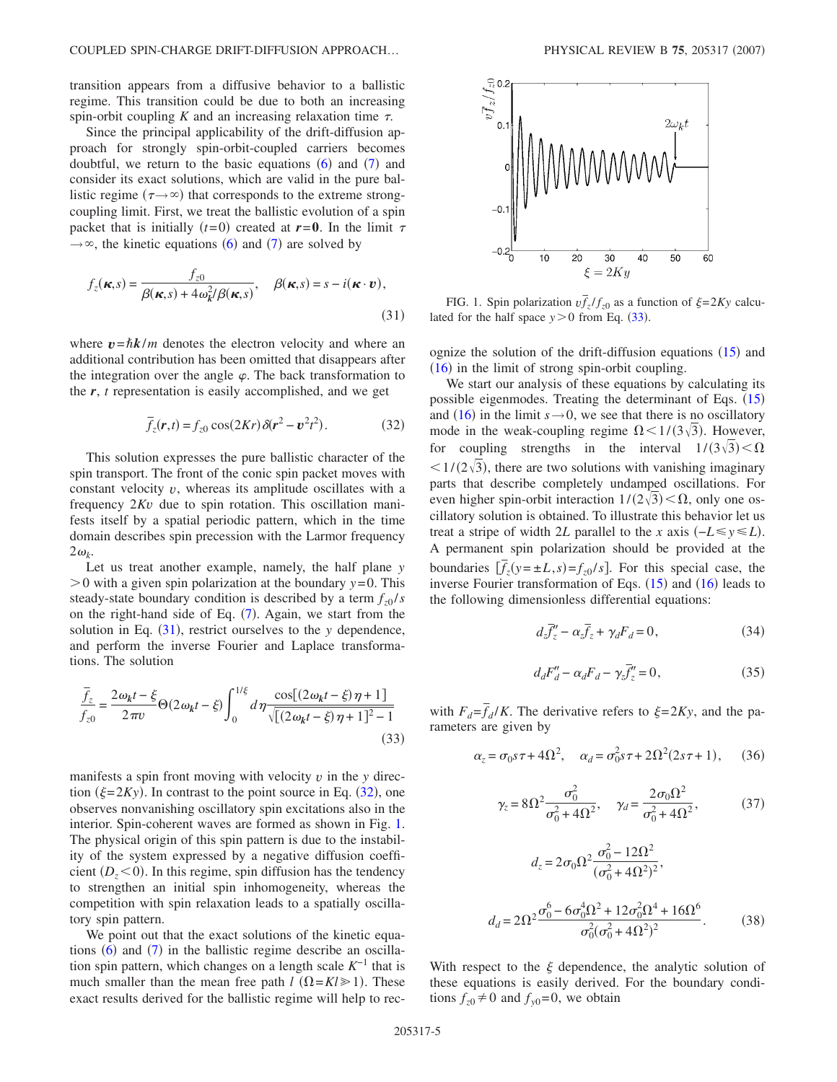transition appears from a diffusive behavior to a ballistic regime. This transition could be due to both an increasing spin-orbit coupling  $K$  and an increasing relaxation time  $\tau$ .

Since the principal applicability of the drift-diffusion approach for strongly spin-orbit-coupled carriers becomes doubtful, we return to the basic equations  $(6)$  $(6)$  $(6)$  and  $(7)$  $(7)$  $(7)$  and consider its exact solutions, which are valid in the pure ballistic regime ( $\tau \rightarrow \infty$ ) that corresponds to the extreme strongcoupling limit. First, we treat the ballistic evolution of a spin packet that is initially  $(t=0)$  created at  $r=0$ . In the limit  $\tau$  $\rightarrow \infty$ , the kinetic equations ([6](#page-1-1)) and ([7](#page-1-2)) are solved by

<span id="page-4-0"></span>
$$
f_z(\boldsymbol{\kappa}, s) = \frac{f_{z0}}{\beta(\boldsymbol{\kappa}, s) + 4\omega_k^2/\beta(\boldsymbol{\kappa}, s)}, \quad \beta(\boldsymbol{\kappa}, s) = s - i(\boldsymbol{\kappa} \cdot \boldsymbol{v}),
$$
\n(31)

where  $v = \hbar k/m$  denotes the electron velocity and where an additional contribution has been omitted that disappears after the integration over the angle  $\varphi$ . The back transformation to the *r*, *t* representation is easily accomplished, and we get

$$
\overline{f}_z(\mathbf{r},t) = f_{z0} \cos(2Kr) \delta(\mathbf{r}^2 - \mathbf{v}^2 t^2).
$$
 (32)

<span id="page-4-1"></span>This solution expresses the pure ballistic character of the spin transport. The front of the conic spin packet moves with constant velocity *v*, whereas its amplitude oscillates with a frequency 2*Kv* due to spin rotation. This oscillation manifests itself by a spatial periodic pattern, which in the time domain describes spin precession with the Larmor frequency  $2\omega_k$ .

Let us treat another example, namely, the half plane *y*  $> 0$  with a given spin polarization at the boundary  $y = 0$ . This steady-state boundary condition is described by a term  $f_{z0}/s$ on the right-hand side of Eq.  $(7)$  $(7)$  $(7)$ . Again, we start from the solution in Eq.  $(31)$  $(31)$  $(31)$ , restrict ourselves to the *y* dependence, and perform the inverse Fourier and Laplace transformations. The solution

<span id="page-4-3"></span>
$$
\frac{\overline{f}_z}{f_{z0}} = \frac{2\omega_k t - \xi}{2\pi\nu} \Theta(2\omega_k t - \xi) \int_0^{1/\xi} d\eta \frac{\cos[(2\omega_k t - \xi)\eta + 1]}{\sqrt{[(2\omega_k t - \xi)\eta + 1]^2 - 1}}
$$
\n(33)

manifests a spin front moving with velocity  $v$  in the  $y$  direction  $(\xi = 2Ky)$ . In contrast to the point source in Eq. ([32](#page-4-1)), one observes nonvanishing oscillatory spin excitations also in the interior. Spin-coherent waves are formed as shown in Fig. [1.](#page-4-2) The physical origin of this spin pattern is due to the instability of the system expressed by a negative diffusion coefficient  $(D_z < 0)$ . In this regime, spin diffusion has the tendency to strengthen an initial spin inhomogeneity, whereas the competition with spin relaxation leads to a spatially oscillatory spin pattern.

We point out that the exact solutions of the kinetic equations  $(6)$  $(6)$  $(6)$  and  $(7)$  $(7)$  $(7)$  in the ballistic regime describe an oscillation spin pattern, which changes on a length scale *K*−1 that is much smaller than the mean free path  $l$   $(\Omega = Kl \ge 1)$ . These exact results derived for the ballistic regime will help to rec-

<span id="page-4-2"></span>

FIG. 1. Spin polarization  $v \bar{f}_z / f_{z0}$  as a function of  $\xi = 2Ky$  calculated for the half space  $y > 0$  from Eq. ([33](#page-4-3)).

ognize the solution of the drift-diffusion equations  $(15)$  $(15)$  $(15)$  and  $(16)$  $(16)$  $(16)$  in the limit of strong spin-orbit coupling.

We start our analysis of these equations by calculating its possible eigenmodes. Treating the determinant of Eqs. ([15](#page-2-4)) and ([16](#page-2-1)) in the limit  $s \rightarrow 0$ , we see that there is no oscillatory mode in the weak-coupling regime  $\Omega$  <  $1/(3\sqrt{3})$ . However, for coupling strengths in the interval  $1/(3\sqrt{3}) < \Omega$  $\langle 1/(2\sqrt{3}),$  there are two solutions with vanishing imaginary parts that describe completely undamped oscillations. For even higher spin-orbit interaction  $1/(2\sqrt{3}) < \Omega$ , only one oscillatory solution is obtained. To illustrate this behavior let us treat a stripe of width 2*L* parallel to the *x* axis  $(-L \le y \le L)$ . A permanent spin polarization should be provided at the boundaries  $[\bar{f}_z(y = \pm L, s) = f_{z0}/s]$ . For this special case, the inverse Fourier transformation of Eqs.  $(15)$  $(15)$  $(15)$  and  $(16)$  $(16)$  $(16)$  leads to the following dimensionless differential equations:

$$
d_z \overline{f}_z'' - \alpha_z \overline{f}_z + \gamma_d F_d = 0, \qquad (34)
$$

$$
d_d F''_d - \alpha_d F_d - \gamma_z \overline{f}'_z = 0, \qquad (35)
$$

with  $F_d = \overline{f}_d/K$ . The derivative refers to  $\xi = 2Ky$ , and the parameters are given by

$$
\alpha_z = \sigma_0 s \tau + 4\Omega^2
$$
,  $\alpha_d = \sigma_0^2 s \tau + 2\Omega^2 (2s \tau + 1)$ , (36)

$$
\gamma_z = 8\Omega^2 \frac{\sigma_0^2}{\sigma_0^2 + 4\Omega^2}, \quad \gamma_d = \frac{2\sigma_0 \Omega^2}{\sigma_0^2 + 4\Omega^2},
$$
\n(37)

$$
d_z = 2\sigma_0 \Omega^2 \frac{\sigma_0^2 - 12\Omega^2}{(\sigma_0^2 + 4\Omega^2)^2},
$$
  

$$
d_d = 2\Omega^2 \frac{\sigma_0^6 - 6\sigma_0^4 \Omega^2 + 12\sigma_0^2 \Omega^4 + 16\Omega^6}{\sigma_0^2 (\sigma_0^2 + 4\Omega^2)^2}.
$$
 (38)

With respect to the  $\xi$  dependence, the analytic solution of these equations is easily derived. For the boundary conditions  $f_{z0} \neq 0$  and  $f_{y0} = 0$ , we obtain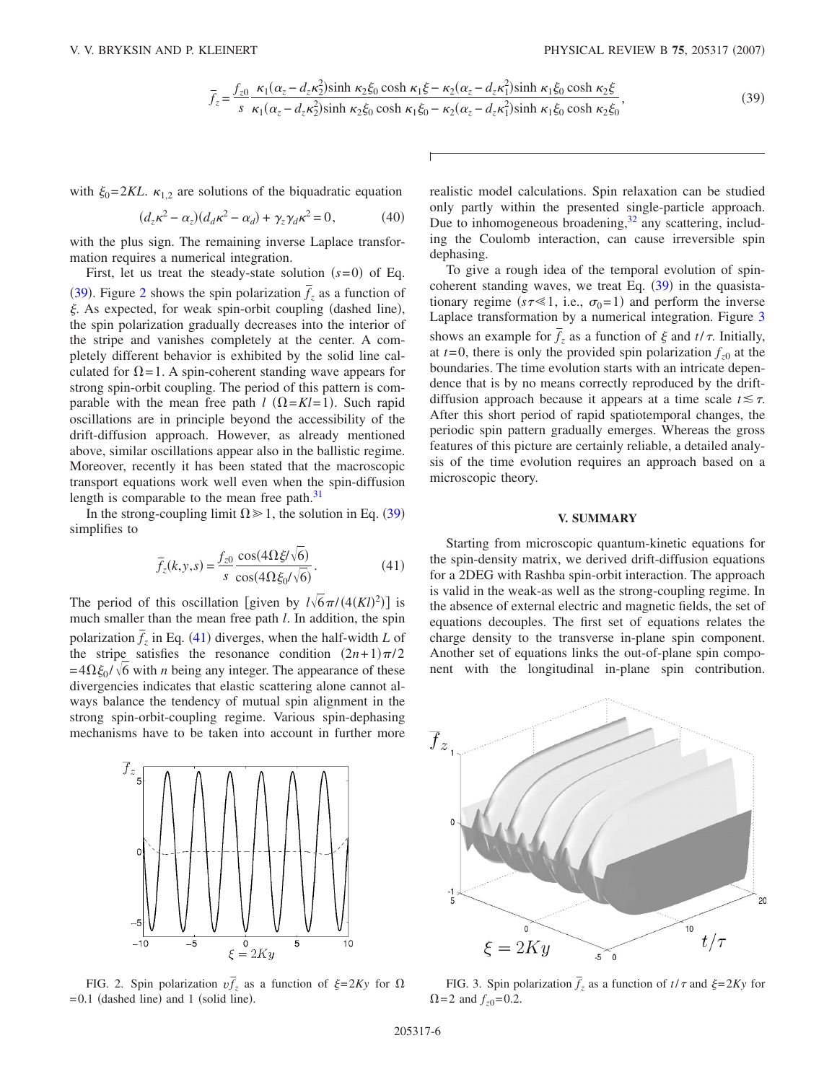$$
\bar{f}_z = \frac{f_{z0}}{s} \frac{\kappa_1(\alpha_z - d_z \kappa_2^2) \sinh \kappa_2 \xi_0 \cosh \kappa_1 \xi - \kappa_2(\alpha_z - d_z \kappa_1^2) \sinh \kappa_1 \xi_0 \cosh \kappa_2 \xi}{\kappa_1(\alpha_z - d_z \kappa_2^2) \sinh \kappa_2 \xi_0 \cosh \kappa_1 \xi_0 - \kappa_2(\alpha_z - d_z \kappa_1^2) \sinh \kappa_1 \xi_0 \cosh \kappa_2 \xi_0},
$$
\n(39)

<span id="page-5-0"></span>with  $\xi_0 = 2KL$ .  $\kappa_{1,2}$  are solutions of the biquadratic equation

$$
(d_z \kappa^2 - \alpha_z)(d_d \kappa^2 - \alpha_d) + \gamma_z \gamma_d \kappa^2 = 0, \qquad (40)
$$

with the plus sign. The remaining inverse Laplace transformation requires a numerical integration.

First, let us treat the steady-state solution  $(s=0)$  of Eq. ([39](#page-5-0)). Figure [2](#page-5-1) shows the spin polarization  $\overline{f}_z$  as a function of  $\xi$ . As expected, for weak spin-orbit coupling (dashed line), the spin polarization gradually decreases into the interior of the stripe and vanishes completely at the center. A completely different behavior is exhibited by the solid line calculated for  $\Omega = 1$ . A spin-coherent standing wave appears for strong spin-orbit coupling. The period of this pattern is comparable with the mean free path  $l$   $(\Omega = Kl = 1)$ . Such rapid oscillations are in principle beyond the accessibility of the drift-diffusion approach. However, as already mentioned above, similar oscillations appear also in the ballistic regime. Moreover, recently it has been stated that the macroscopic transport equations work well even when the spin-diffusion length is comparable to the mean free path.<sup>31</sup>

<span id="page-5-2"></span>In the strong-coupling limit  $\Omega \ge 1$ , the solution in Eq. ([39](#page-5-0)) simplifies to

$$
\overline{f}_z(k, y, s) = \frac{f_{z0}}{s} \frac{\cos(4\Omega \xi/\sqrt{6})}{\cos(4\Omega \xi_0/\sqrt{6})}.
$$
\n(41)

The period of this oscillation [given by  $l\sqrt{6}\pi/(4(Kl)^2)$ ] is much smaller than the mean free path *l*. In addition, the spin polarization  $\bar{f}_z$  in Eq. ([41](#page-5-2)) diverges, when the half-width *L* of the stripe satisfies the resonance condition  $(2n+1)\pi/2$  $=4\Omega \xi_0 / \sqrt{6}$  with *n* being any integer. The appearance of these divergencies indicates that elastic scattering alone cannot always balance the tendency of mutual spin alignment in the strong spin-orbit-coupling regime. Various spin-dephasing mechanisms have to be taken into account in further more

<span id="page-5-1"></span>

FIG. 2. Spin polarization  $v \bar{f}_z$  as a function of  $\xi = 2Ky$  for  $\Omega$  $= 0.1$  (dashed line) and 1 (solid line).

realistic model calculations. Spin relaxation can be studied only partly within the presented single-particle approach. Due to inhomogeneous broadening,<sup>32</sup> any scattering, including the Coulomb interaction, can cause irreversible spin dephasing.

To give a rough idea of the temporal evolution of spincoherent standing waves, we treat Eq.  $(39)$  $(39)$  $(39)$  in the quasistationary regime ( $s\tau \ll 1$ , i.e.,  $\sigma_0 = 1$ ) and perform the inverse Laplace transformation by a numerical integration. Figure [3](#page-5-3) shows an example for  $\bar{f}_z$  as a function of  $\xi$  and  $t/\tau$ . Initially, at  $t=0$ , there is only the provided spin polarization  $f_{z0}$  at the boundaries. The time evolution starts with an intricate dependence that is by no means correctly reproduced by the driftdiffusion approach because it appears at a time scale  $t \leq \tau$ . After this short period of rapid spatiotemporal changes, the periodic spin pattern gradually emerges. Whereas the gross features of this picture are certainly reliable, a detailed analysis of the time evolution requires an approach based on a microscopic theory.

#### **V. SUMMARY**

Starting from microscopic quantum-kinetic equations for the spin-density matrix, we derived drift-diffusion equations for a 2DEG with Rashba spin-orbit interaction. The approach is valid in the weak-as well as the strong-coupling regime. In the absence of external electric and magnetic fields, the set of equations decouples. The first set of equations relates the charge density to the transverse in-plane spin component. Another set of equations links the out-of-plane spin component with the longitudinal in-plane spin contribution.

<span id="page-5-3"></span>

FIG. 3. Spin polarization  $\bar{f}_z$  as a function of  $t/\tau$  and  $\xi = 2Ky$  for  $\Omega = 2$  and  $f_{z0} = 0.2$ .